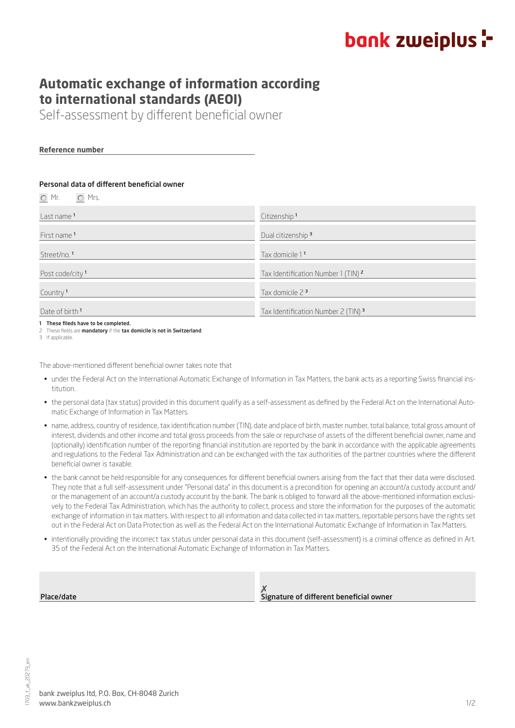## bank zweiplus :-

### **Automatic exchange of information according to international standards (AEOI)**

Self-assessment by different beneficial owner

**Reference number**

#### Personal data of different beneficial owner

| $\bigcirc$ Mr.<br>O Mrs.             |                                                |
|--------------------------------------|------------------------------------------------|
| Last name <sup>1</sup>               | Citizenship <sup>1</sup>                       |
| First name <sup>1</sup>              | Dual citizenship <sup>3</sup>                  |
| Street/no. <sup>1</sup>              | Tax domicile 1 <sup>1</sup>                    |
| Post code/city <sup>1</sup>          | Tax Identification Number 1 (TIN) <sup>2</sup> |
| Country <sup>1</sup>                 | Tax domicile $2^3$                             |
| Date of birth <sup>1</sup>           | Tax Identification Number 2 (TIN) $3$          |
| 1 These fileds have to be completed. |                                                |

2 These fields are **mandatory** if the **tax domicile is not in Switzerland**.

3 If applicable.

The above-mentioned different beneficial owner takes note that

- under the Federal Act on the International Automatic Exchange of Information in Tax Matters, the bank acts as a reporting Swiss financial institution.
- the personal data (tax status) provided in this document qualify as a self-assessment as defined by the Federal Act on the International Automatic Exchange of Information in Tax Matters.
- name, address, country of residence, tax identification number (TIN), date and place of birth, master number, total balance, total gross amount of interest, dividends and other income and total gross proceeds from the sale or repurchase of assets of the different beneficial owner, name and (optionally) identification number of the reporting financial institution are reported by the bank in accordance with the applicable agreements and regulations to the Federal Tax Administration and can be exchanged with the tax authorities of the partner countries where the different beneficial owner is taxable.
- the bank cannot be held responsible for any consequences for different beneficial owners arising from the fact that their data were disclosed. They note that a full self-assessment under "Personal data" in this document is a precondition for opening an account/a custody account and/ or the management of an account/a custody account by the bank. The bank is obliged to forward all the above-mentioned information exclusively to the Federal Tax Administration, which has the authority to collect, process and store the information for the purposes of the automatic exchange of information in tax matters. With respect to all information and data collected in tax matters, reportable persons have the rights set out in the Federal Act on Data Protection as well as the Federal Act on the International Automatic Exchange of Information in Tax Matters.
- intentionally providing the incorrect tax status under personal data in this document (self-assessment) is a criminal offence as defined in Art. 35 of the Federal Act on the International Automatic Exchange of Information in Tax Matters.

| Place/date | Signature of different beneficial owner |
|------------|-----------------------------------------|